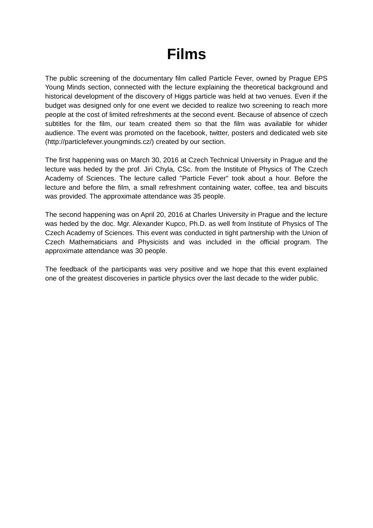## **Films**

The public screening of the documentary film called Particle Fever, owned by Prague EPS Young Minds section, connected with the lecture explaining the theoretical background and historical development of the discovery of Higgs particle was held at two venues. Even if the budget was designed only for one event we decided to realize two screening to reach more people at the cost of limited refreshments at the second event. Because of absence of czech subtitles for the film, our team created them so that the film was available for whider audience. The event was promoted on the facebook, twitter, posters and dedicated web site (http://particlefever.youngminds.cz/) created by our section.

The first happening was on March 30, 2016 at Czech Technical University in Prague and the lecture was heded by the prof. Jiri Chyla, CSc. from the Institute of Physics of The Czech Academy of Sciences. The lecture called "Particle Fever" took about a hour. Before the lecture and before the film, a small refreshment containing water, coffee, tea and biscuits was provided. The approximate attendance was 35 people.

The second happening was on April 20, 2016 at Charles University in Prague and the lecture was heded by the doc. Mgr. Alexander Kupco, Ph.D. as well from Institute of Physics of The Czech Academy of Sciences. This event was conducted in tight partnership with the Union of Czech Mathematicians and Physicists and was included in the official program. The approximate attendance was 30 people.

The feedback of the participants was very positive and we hope that this event explained one of the greatest discoveries in particle physics over the last decade to the wider public.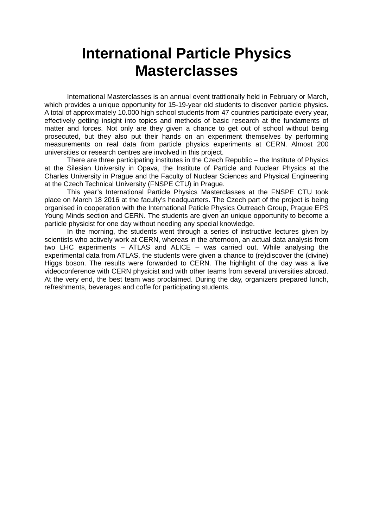### **International Particle Physics Masterclasses**

International Masterclasses is an annual event tratitionally held in February or March, which provides a unique opportunity for 15-19-year old students to discover particle physics. A total of approximately 10.000 high school students from 47 countries participate every year, effectively getting insight into topics and methods of basic research at the fundaments of matter and forces. Not only are they given a chance to get out of school without being prosecuted, but they also put their hands on an experiment themselves by performing measurements on real data from particle physics experiments at CERN. Almost 200 universities or research centres are involved in this project.

There are three participating institutes in the Czech Republic – the Institute of Physics at the Silesian University in Opava, the Institute of Particle and Nuclear Physics at the Charles University in Prague and the Faculty of Nuclear Sciences and Physical Engineering at the Czech Technical University (FNSPE CTU) in Prague.

This year's International Particle Physics Masterclasses at the FNSPE CTU took place on March 18 2016 at the faculty's headquarters. The Czech part of the project is being organised in cooperation with the International Paticle Physics Outreach Group, Prague EPS Young Minds section and CERN. The students are given an unique opportunity to become a particle physicist for one day without needing any special knowledge.

In the morning, the students went through a series of instructive lectures given by scientists who actively work at CERN, whereas in the afternoon, an actual data analysis from two LHC experiments – ATLAS and ALICE – was carried out. While analysing the experimental data from ATLAS, the students were given a chance to (re)discover the (divine) Higgs boson. The results were forwarded to CERN. The highlight of the day was a live videoconference with CERN physicist and with other teams from several universities abroad. At the very end, the best team was proclaimed. During the day, organizers prepared lunch, refreshments, beverages and coffe for participating students.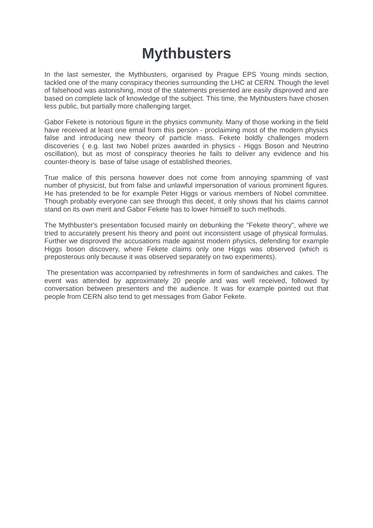## **Mythbusters**

In the last semester, the Mythbusters, organised by Prague EPS Young minds section, tackled one of the many conspiracy theories surrounding the LHC at CERN. Though the level of falsehood was astonishing, most of the statements presented are easily disproved and are based on complete lack of knowledge of the subject. This time, the Mythbusters have chosen less public, but partially more challenging target.

Gabor Fekete is notorious figure in the physics community. Many of those working in the field have received at least one email from this person - proclaiming most of the modern physics false and introducing new theory of particle mass. Fekete boldly challenges modern discoveries ( e.g. last two Nobel prizes awarded in physics - Higgs Boson and Neutrino oscillation), but as most of conspiracy theories he fails to deliver any evidence and his counter-theory is base of false usage of established theories.

True malice of this persona however does not come from annoying spamming of vast number of physicist, but from false and unlawful impersonation of various prominent figures. He has pretended to be for example Peter Higgs or various members of Nobel committee. Though probably everyone can see through this deceit, it only shows that his claims cannot stand on its own merit and Gabor Fekete has to lower himself to such methods.

The Mythbuster's presentation focused mainly on debunking the "Fekete theory", where we tried to accurately present his theory and point out inconsistent usage of physical formulas. Further we disproved the accusations made against modern physics, defending for example Higgs boson discovery, where Fekete claims only one Higgs was observed (which is preposterous only because it was observed separately on two experiments).

 The presentation was accompanied by refreshments in form of sandwiches and cakes. The event was attended by approximately 20 people and was well received, followed by conversation between presenters and the audience. It was for example pointed out that people from CERN also tend to get messages from Gabor Fekete.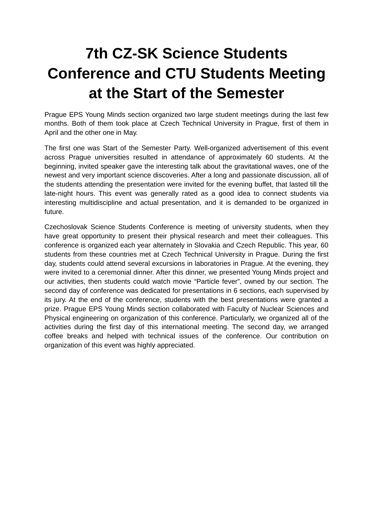# **7th CZ-SK Science Students Conference and CTU Students Meeting at the Start of the Semester**

Prague EPS Young Minds section organized two large student meetings during the last few months. Both of them took place at Czech Technical University in Prague, first of them in April and the other one in May.

The first one was Start of the Semester Party. Well-organized advertisement of this event across Prague universities resulted in attendance of approximately 60 students. At the beginning, invited speaker gave the interesting talk about the gravitational waves, one of the newest and very important science discoveries. After a long and passionate discussion, all of the students attending the presentation were invited for the evening buffet, that lasted till the late-night hours. This event was generally rated as a good idea to connect students via interesting multidiscipline and actual presentation, and it is demanded to be organized in future.

Czechoslovak Science Students Conference is meeting of university students, when they have great opportunity to present their physical research and meet their colleagues. This conference is organized each year alternately in Slovakia and Czech Republic. This year, 60 students from these countries met at Czech Technical University in Prague. During the first day, students could attend several excursions in laboratories in Prague. At the evening, they were invited to a ceremonial dinner. After this dinner, we presented Young Minds project and our activities, then students could watch movie "Particle fever", owned by our section. The second day of conference was dedicated for presentations in 6 sections, each supervised by its jury. At the end of the conference, students with the best presentations were granted a prize. Prague EPS Young Minds section collaborated with Faculty of Nuclear Sciences and Physical engineering on organization of this conference. Particularly, we organized all of the activities during the first day of this international meeting. The second day, we arranged coffee breaks and helped with technical issues of the conference. Our contribution on organization of this event was highly appreciated.